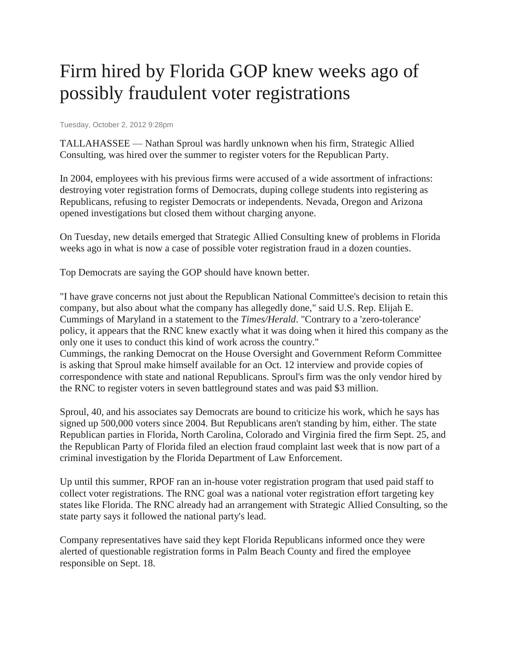## Firm hired by Florida GOP knew weeks ago of possibly fraudulent voter registrations

Tuesday, October 2, 2012 9:28pm

TALLAHASSEE — Nathan Sproul was hardly unknown when his firm, Strategic Allied Consulting, was hired over the summer to register voters for the Republican Party.

In 2004, employees with his previous firms were accused of a wide assortment of infractions: destroying voter registration forms of Democrats, duping college students into registering as Republicans, refusing to register Democrats or independents. Nevada, Oregon and Arizona opened investigations but closed them without charging anyone.

On Tuesday, new details emerged that Strategic Allied Consulting knew of problems in Florida weeks ago in what is now a case of possible voter registration fraud in a dozen counties.

Top Democrats are saying the GOP should have known better.

"I have grave concerns not just about the Republican National Committee's decision to retain this company, but also about what the company has allegedly done," said U.S. Rep. Elijah E. Cummings of Maryland in a statement to the *Times/Herald*. "Contrary to a 'zero-tolerance' policy, it appears that the RNC knew exactly what it was doing when it hired this company as the only one it uses to conduct this kind of work across the country."

Cummings, the ranking Democrat on the House Oversight and Government Reform Committee is asking that Sproul make himself available for an Oct. 12 interview and provide copies of correspondence with state and national Republicans. Sproul's firm was the only vendor hired by the RNC to register voters in seven battleground states and was paid \$3 million.

Sproul, 40, and his associates say Democrats are bound to criticize his work, which he says has signed up 500,000 voters since 2004. But Republicans aren't standing by him, either. The state Republican parties in Florida, North Carolina, Colorado and Virginia fired the firm Sept. 25, and the Republican Party of Florida filed an election fraud complaint last week that is now part of a criminal investigation by the Florida Department of Law Enforcement.

Up until this summer, RPOF ran an in-house voter registration program that used paid staff to collect voter registrations. The RNC goal was a national voter registration effort targeting key states like Florida. The RNC already had an arrangement with Strategic Allied Consulting, so the state party says it followed the national party's lead.

Company representatives have said they kept Florida Republicans informed once they were alerted of questionable registration forms in Palm Beach County and fired the employee responsible on Sept. 18.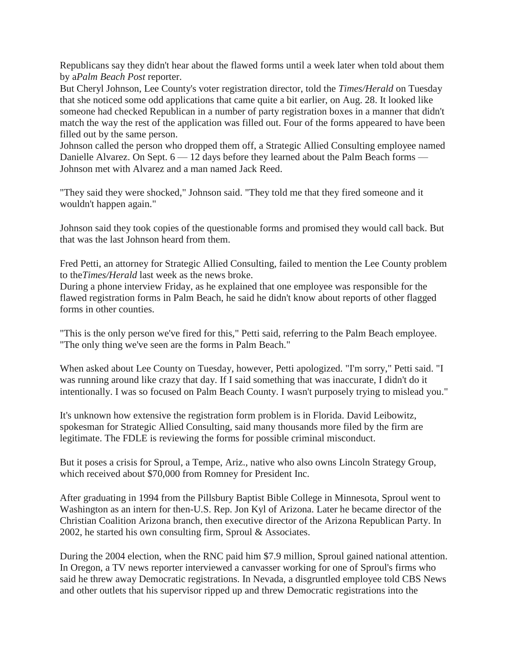Republicans say they didn't hear about the flawed forms until a week later when told about them by a*Palm Beach Post* reporter.

But Cheryl Johnson, Lee County's voter registration director, told the *Times/Herald* on Tuesday that she noticed some odd applications that came quite a bit earlier, on Aug. 28. It looked like someone had checked Republican in a number of party registration boxes in a manner that didn't match the way the rest of the application was filled out. Four of the forms appeared to have been filled out by the same person.

Johnson called the person who dropped them off, a Strategic Allied Consulting employee named Danielle Alvarez. On Sept. 6 — 12 days before they learned about the Palm Beach forms — Johnson met with Alvarez and a man named Jack Reed.

"They said they were shocked," Johnson said. "They told me that they fired someone and it wouldn't happen again."

Johnson said they took copies of the questionable forms and promised they would call back. But that was the last Johnson heard from them.

Fred Petti, an attorney for Strategic Allied Consulting, failed to mention the Lee County problem to the*Times/Herald* last week as the news broke.

During a phone interview Friday, as he explained that one employee was responsible for the flawed registration forms in Palm Beach, he said he didn't know about reports of other flagged forms in other counties.

"This is the only person we've fired for this," Petti said, referring to the Palm Beach employee. "The only thing we've seen are the forms in Palm Beach."

When asked about Lee County on Tuesday, however, Petti apologized. "I'm sorry," Petti said. "I was running around like crazy that day. If I said something that was inaccurate, I didn't do it intentionally. I was so focused on Palm Beach County. I wasn't purposely trying to mislead you."

It's unknown how extensive the registration form problem is in Florida. David Leibowitz, spokesman for Strategic Allied Consulting, said many thousands more filed by the firm are legitimate. The FDLE is reviewing the forms for possible criminal misconduct.

But it poses a crisis for Sproul, a Tempe, Ariz., native who also owns Lincoln Strategy Group, which received about \$70,000 from Romney for President Inc.

After graduating in 1994 from the Pillsbury Baptist Bible College in Minnesota, Sproul went to Washington as an intern for then-U.S. Rep. Jon Kyl of Arizona. Later he became director of the Christian Coalition Arizona branch, then executive director of the Arizona Republican Party. In 2002, he started his own consulting firm, Sproul & Associates.

During the 2004 election, when the RNC paid him \$7.9 million, Sproul gained national attention. In Oregon, a TV news reporter interviewed a canvasser working for one of Sproul's firms who said he threw away Democratic registrations. In Nevada, a disgruntled employee told CBS News and other outlets that his supervisor ripped up and threw Democratic registrations into the